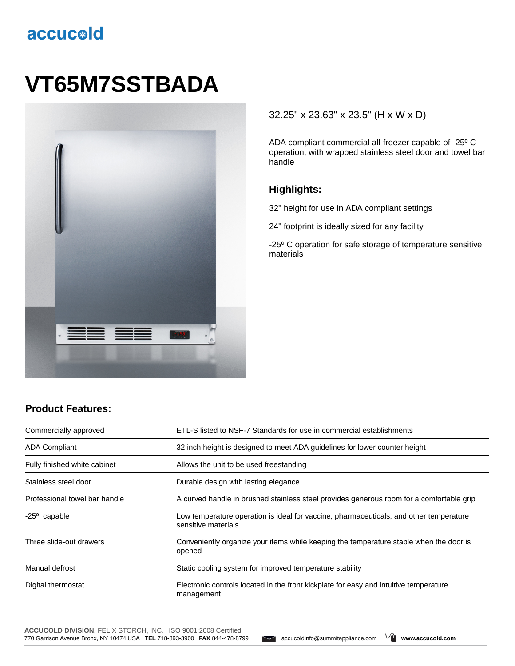## accucold

# **VT65M7SSTBADA**



#### 32.25" x 23.63" x 23.5" (H x W x D)

ADA compliant commercial all-freezer capable of -25º C operation, with wrapped stainless steel door and towel bar handle

#### **Highlights:**

32" height for use in ADA compliant settings

24" footprint is ideally sized for any facility

-25º C operation for safe storage of temperature sensitive materials

### **Product Features:**

| Commercially approved         | ETL-S listed to NSF-7 Standards for use in commercial establishments                                          |
|-------------------------------|---------------------------------------------------------------------------------------------------------------|
| <b>ADA Compliant</b>          | 32 inch height is designed to meet ADA guidelines for lower counter height                                    |
| Fully finished white cabinet  | Allows the unit to be used freestanding                                                                       |
| Stainless steel door          | Durable design with lasting elegance                                                                          |
| Professional towel bar handle | A curved handle in brushed stainless steel provides generous room for a comfortable grip                      |
| $-25^{\circ}$ capable         | Low temperature operation is ideal for vaccine, pharmaceuticals, and other temperature<br>sensitive materials |
| Three slide-out drawers       | Conveniently organize your items while keeping the temperature stable when the door is<br>opened              |
| Manual defrost                | Static cooling system for improved temperature stability                                                      |
| Digital thermostat            | Electronic controls located in the front kickplate for easy and intuitive temperature<br>management           |

**ACCUCOLD DIVISION**, FELIX STORCH, INC. | ISO 9001:2008 Certified 770 Garrison Avenue Bronx, NY 10474 USA **TEL** 718-893-3900 **FAX** 844-478-8799 accucoldinfo@summitappliance.com **www.accucold.com**